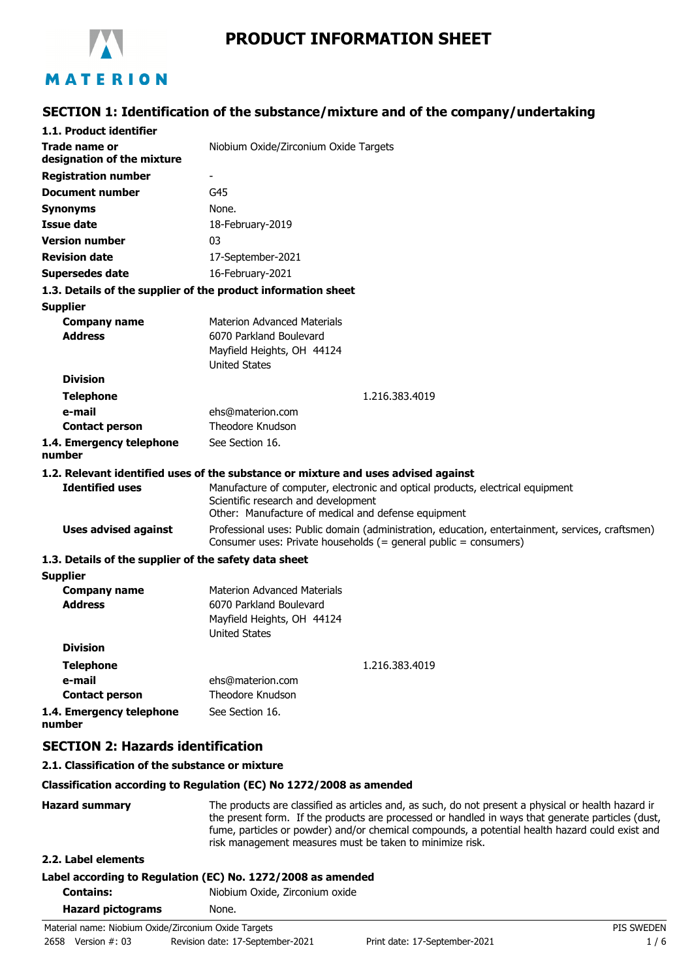

# **PRODUCT INFORMATION SHEET**

# **SECTION 1: Identification of the substance/mixture and of the company/undertaking**

| Trade name or<br>Niobium Oxide/Zirconium Oxide Targets<br>G45<br>None.<br>18-February-2019<br>03<br>17-September-2021<br>16-February-2021<br>1.3. Details of the supplier of the product information sheet<br><b>Materion Advanced Materials</b><br><b>Company name</b><br><b>Address</b><br>6070 Parkland Boulevard<br>Mayfield Heights, OH 44124<br><b>United States</b><br><b>Division</b><br>1.216.383.4019<br><b>Telephone</b><br>e-mail<br>ehs@materion.com<br>Theodore Knudson<br><b>Contact person</b><br>1.4. Emergency telephone<br>See Section 16.<br>1.2. Relevant identified uses of the substance or mixture and uses advised against<br><b>Identified uses</b><br>Manufacture of computer, electronic and optical products, electrical equipment<br>Scientific research and development<br>Other: Manufacture of medical and defense equipment<br><b>Uses advised against</b><br>Professional uses: Public domain (administration, education, entertainment, services, craftsmen)<br>Consumer uses: Private households (= general public = consumers)<br>1.3. Details of the supplier of the safety data sheet<br><b>Materion Advanced Materials</b><br><b>Company name</b><br><b>Address</b><br>6070 Parkland Boulevard<br>Mayfield Heights, OH 44124<br><b>United States</b><br><b>Division</b><br><b>Telephone</b><br>1.216.383.4019<br>e-mail<br>ehs@materion.com<br>Theodore Knudson<br><b>Contact person</b><br>See Section 16.<br><b>SECTION 2: Hazards identification</b><br>2.1. Classification of the substance or mixture | 1.1. Product identifier            |  |
|-----------------------------------------------------------------------------------------------------------------------------------------------------------------------------------------------------------------------------------------------------------------------------------------------------------------------------------------------------------------------------------------------------------------------------------------------------------------------------------------------------------------------------------------------------------------------------------------------------------------------------------------------------------------------------------------------------------------------------------------------------------------------------------------------------------------------------------------------------------------------------------------------------------------------------------------------------------------------------------------------------------------------------------------------------------------------------------------------------------------------------------------------------------------------------------------------------------------------------------------------------------------------------------------------------------------------------------------------------------------------------------------------------------------------------------------------------------------------------------------------------------------------------------------------------|------------------------------------|--|
|                                                                                                                                                                                                                                                                                                                                                                                                                                                                                                                                                                                                                                                                                                                                                                                                                                                                                                                                                                                                                                                                                                                                                                                                                                                                                                                                                                                                                                                                                                                                                     |                                    |  |
|                                                                                                                                                                                                                                                                                                                                                                                                                                                                                                                                                                                                                                                                                                                                                                                                                                                                                                                                                                                                                                                                                                                                                                                                                                                                                                                                                                                                                                                                                                                                                     | designation of the mixture         |  |
|                                                                                                                                                                                                                                                                                                                                                                                                                                                                                                                                                                                                                                                                                                                                                                                                                                                                                                                                                                                                                                                                                                                                                                                                                                                                                                                                                                                                                                                                                                                                                     | <b>Registration number</b>         |  |
|                                                                                                                                                                                                                                                                                                                                                                                                                                                                                                                                                                                                                                                                                                                                                                                                                                                                                                                                                                                                                                                                                                                                                                                                                                                                                                                                                                                                                                                                                                                                                     | <b>Document number</b>             |  |
|                                                                                                                                                                                                                                                                                                                                                                                                                                                                                                                                                                                                                                                                                                                                                                                                                                                                                                                                                                                                                                                                                                                                                                                                                                                                                                                                                                                                                                                                                                                                                     | <b>Synonyms</b>                    |  |
|                                                                                                                                                                                                                                                                                                                                                                                                                                                                                                                                                                                                                                                                                                                                                                                                                                                                                                                                                                                                                                                                                                                                                                                                                                                                                                                                                                                                                                                                                                                                                     | <b>Issue date</b>                  |  |
|                                                                                                                                                                                                                                                                                                                                                                                                                                                                                                                                                                                                                                                                                                                                                                                                                                                                                                                                                                                                                                                                                                                                                                                                                                                                                                                                                                                                                                                                                                                                                     | <b>Version number</b>              |  |
|                                                                                                                                                                                                                                                                                                                                                                                                                                                                                                                                                                                                                                                                                                                                                                                                                                                                                                                                                                                                                                                                                                                                                                                                                                                                                                                                                                                                                                                                                                                                                     | <b>Revision date</b>               |  |
|                                                                                                                                                                                                                                                                                                                                                                                                                                                                                                                                                                                                                                                                                                                                                                                                                                                                                                                                                                                                                                                                                                                                                                                                                                                                                                                                                                                                                                                                                                                                                     | <b>Supersedes date</b>             |  |
|                                                                                                                                                                                                                                                                                                                                                                                                                                                                                                                                                                                                                                                                                                                                                                                                                                                                                                                                                                                                                                                                                                                                                                                                                                                                                                                                                                                                                                                                                                                                                     |                                    |  |
|                                                                                                                                                                                                                                                                                                                                                                                                                                                                                                                                                                                                                                                                                                                                                                                                                                                                                                                                                                                                                                                                                                                                                                                                                                                                                                                                                                                                                                                                                                                                                     | <b>Supplier</b>                    |  |
|                                                                                                                                                                                                                                                                                                                                                                                                                                                                                                                                                                                                                                                                                                                                                                                                                                                                                                                                                                                                                                                                                                                                                                                                                                                                                                                                                                                                                                                                                                                                                     |                                    |  |
|                                                                                                                                                                                                                                                                                                                                                                                                                                                                                                                                                                                                                                                                                                                                                                                                                                                                                                                                                                                                                                                                                                                                                                                                                                                                                                                                                                                                                                                                                                                                                     |                                    |  |
|                                                                                                                                                                                                                                                                                                                                                                                                                                                                                                                                                                                                                                                                                                                                                                                                                                                                                                                                                                                                                                                                                                                                                                                                                                                                                                                                                                                                                                                                                                                                                     |                                    |  |
|                                                                                                                                                                                                                                                                                                                                                                                                                                                                                                                                                                                                                                                                                                                                                                                                                                                                                                                                                                                                                                                                                                                                                                                                                                                                                                                                                                                                                                                                                                                                                     |                                    |  |
|                                                                                                                                                                                                                                                                                                                                                                                                                                                                                                                                                                                                                                                                                                                                                                                                                                                                                                                                                                                                                                                                                                                                                                                                                                                                                                                                                                                                                                                                                                                                                     |                                    |  |
|                                                                                                                                                                                                                                                                                                                                                                                                                                                                                                                                                                                                                                                                                                                                                                                                                                                                                                                                                                                                                                                                                                                                                                                                                                                                                                                                                                                                                                                                                                                                                     |                                    |  |
|                                                                                                                                                                                                                                                                                                                                                                                                                                                                                                                                                                                                                                                                                                                                                                                                                                                                                                                                                                                                                                                                                                                                                                                                                                                                                                                                                                                                                                                                                                                                                     |                                    |  |
|                                                                                                                                                                                                                                                                                                                                                                                                                                                                                                                                                                                                                                                                                                                                                                                                                                                                                                                                                                                                                                                                                                                                                                                                                                                                                                                                                                                                                                                                                                                                                     |                                    |  |
|                                                                                                                                                                                                                                                                                                                                                                                                                                                                                                                                                                                                                                                                                                                                                                                                                                                                                                                                                                                                                                                                                                                                                                                                                                                                                                                                                                                                                                                                                                                                                     | number                             |  |
|                                                                                                                                                                                                                                                                                                                                                                                                                                                                                                                                                                                                                                                                                                                                                                                                                                                                                                                                                                                                                                                                                                                                                                                                                                                                                                                                                                                                                                                                                                                                                     |                                    |  |
|                                                                                                                                                                                                                                                                                                                                                                                                                                                                                                                                                                                                                                                                                                                                                                                                                                                                                                                                                                                                                                                                                                                                                                                                                                                                                                                                                                                                                                                                                                                                                     |                                    |  |
|                                                                                                                                                                                                                                                                                                                                                                                                                                                                                                                                                                                                                                                                                                                                                                                                                                                                                                                                                                                                                                                                                                                                                                                                                                                                                                                                                                                                                                                                                                                                                     |                                    |  |
|                                                                                                                                                                                                                                                                                                                                                                                                                                                                                                                                                                                                                                                                                                                                                                                                                                                                                                                                                                                                                                                                                                                                                                                                                                                                                                                                                                                                                                                                                                                                                     |                                    |  |
|                                                                                                                                                                                                                                                                                                                                                                                                                                                                                                                                                                                                                                                                                                                                                                                                                                                                                                                                                                                                                                                                                                                                                                                                                                                                                                                                                                                                                                                                                                                                                     |                                    |  |
|                                                                                                                                                                                                                                                                                                                                                                                                                                                                                                                                                                                                                                                                                                                                                                                                                                                                                                                                                                                                                                                                                                                                                                                                                                                                                                                                                                                                                                                                                                                                                     |                                    |  |
|                                                                                                                                                                                                                                                                                                                                                                                                                                                                                                                                                                                                                                                                                                                                                                                                                                                                                                                                                                                                                                                                                                                                                                                                                                                                                                                                                                                                                                                                                                                                                     | <b>Supplier</b>                    |  |
|                                                                                                                                                                                                                                                                                                                                                                                                                                                                                                                                                                                                                                                                                                                                                                                                                                                                                                                                                                                                                                                                                                                                                                                                                                                                                                                                                                                                                                                                                                                                                     |                                    |  |
|                                                                                                                                                                                                                                                                                                                                                                                                                                                                                                                                                                                                                                                                                                                                                                                                                                                                                                                                                                                                                                                                                                                                                                                                                                                                                                                                                                                                                                                                                                                                                     |                                    |  |
|                                                                                                                                                                                                                                                                                                                                                                                                                                                                                                                                                                                                                                                                                                                                                                                                                                                                                                                                                                                                                                                                                                                                                                                                                                                                                                                                                                                                                                                                                                                                                     |                                    |  |
|                                                                                                                                                                                                                                                                                                                                                                                                                                                                                                                                                                                                                                                                                                                                                                                                                                                                                                                                                                                                                                                                                                                                                                                                                                                                                                                                                                                                                                                                                                                                                     |                                    |  |
|                                                                                                                                                                                                                                                                                                                                                                                                                                                                                                                                                                                                                                                                                                                                                                                                                                                                                                                                                                                                                                                                                                                                                                                                                                                                                                                                                                                                                                                                                                                                                     |                                    |  |
|                                                                                                                                                                                                                                                                                                                                                                                                                                                                                                                                                                                                                                                                                                                                                                                                                                                                                                                                                                                                                                                                                                                                                                                                                                                                                                                                                                                                                                                                                                                                                     |                                    |  |
|                                                                                                                                                                                                                                                                                                                                                                                                                                                                                                                                                                                                                                                                                                                                                                                                                                                                                                                                                                                                                                                                                                                                                                                                                                                                                                                                                                                                                                                                                                                                                     |                                    |  |
|                                                                                                                                                                                                                                                                                                                                                                                                                                                                                                                                                                                                                                                                                                                                                                                                                                                                                                                                                                                                                                                                                                                                                                                                                                                                                                                                                                                                                                                                                                                                                     | 1.4. Emergency telephone<br>number |  |
|                                                                                                                                                                                                                                                                                                                                                                                                                                                                                                                                                                                                                                                                                                                                                                                                                                                                                                                                                                                                                                                                                                                                                                                                                                                                                                                                                                                                                                                                                                                                                     |                                    |  |
|                                                                                                                                                                                                                                                                                                                                                                                                                                                                                                                                                                                                                                                                                                                                                                                                                                                                                                                                                                                                                                                                                                                                                                                                                                                                                                                                                                                                                                                                                                                                                     |                                    |  |

#### **Classification according to Regulation (EC) No 1272/2008 as amended**

Hazard summary The products are classified as articles and, as such, do not present a physical or health hazard in the present form. If the products are processed or handled in ways that generate particles (dust, fume, particles or powder) and/or chemical compounds, a potential health hazard could exist and risk management measures must be taken to minimize risk.

## **2.2. Label elements**

## **Label according to Regulation (EC) No. 1272/2008 as amended**

**Contains:** Niobium Oxide, Zirconium oxide

| <b>Hazard pictograms</b> | None. |
|--------------------------|-------|
|                          |       |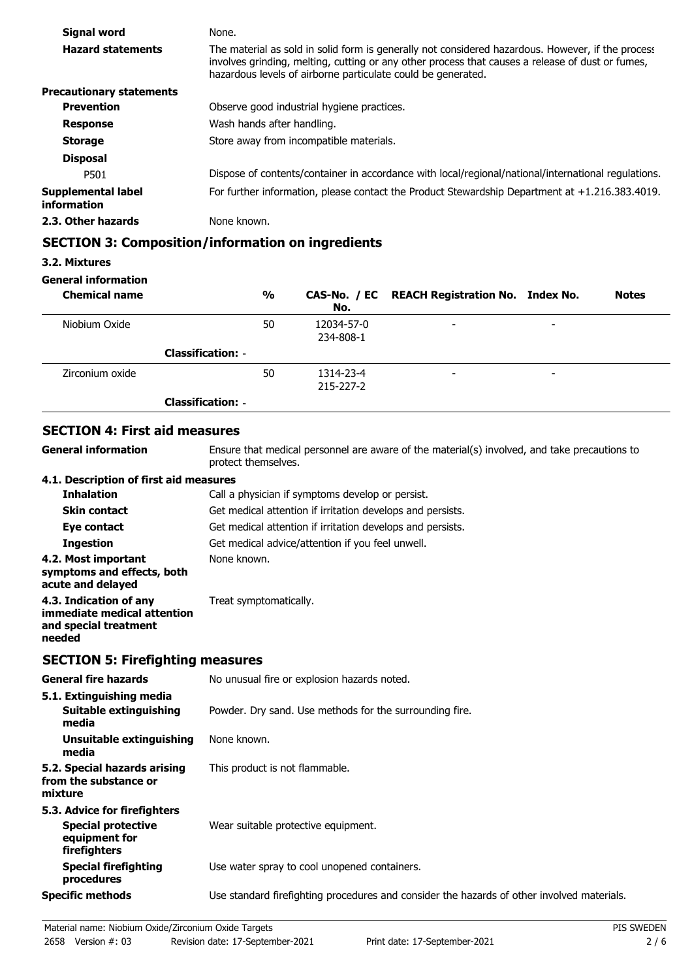| Signal word                       | None.                                                                                                                                                                                                                                                                 |
|-----------------------------------|-----------------------------------------------------------------------------------------------------------------------------------------------------------------------------------------------------------------------------------------------------------------------|
| <b>Hazard statements</b>          | The material as sold in solid form is generally not considered hazardous. However, if the process<br>involves grinding, melting, cutting or any other process that causes a release of dust or fumes,<br>hazardous levels of airborne particulate could be generated. |
| <b>Precautionary statements</b>   |                                                                                                                                                                                                                                                                       |
| <b>Prevention</b>                 | Observe good industrial hygiene practices.                                                                                                                                                                                                                            |
| <b>Response</b>                   | Wash hands after handling.                                                                                                                                                                                                                                            |
| <b>Storage</b>                    | Store away from incompatible materials.                                                                                                                                                                                                                               |
| <b>Disposal</b>                   |                                                                                                                                                                                                                                                                       |
| P501                              | Dispose of contents/container in accordance with local/regional/national/international regulations.                                                                                                                                                                   |
| Supplemental label<br>information | For further information, please contact the Product Stewardship Department at +1.216.383.4019.                                                                                                                                                                        |
| 2.3. Other hazards                | None known.                                                                                                                                                                                                                                                           |

## **SECTION 3: Composition/information on ingredients**

### **3.2. Mixtures**

## **General information**

| <b>Chemical name</b> |                          | $\frac{0}{0}$ | No.                     | CAS-No. / EC REACH Registration No. Index No. |                          | <b>Notes</b> |
|----------------------|--------------------------|---------------|-------------------------|-----------------------------------------------|--------------------------|--------------|
| Niobium Oxide        |                          | 50            | 12034-57-0<br>234-808-1 | $\overline{\phantom{a}}$                      | $\overline{\phantom{0}}$ |              |
|                      | <b>Classification: -</b> |               |                         |                                               |                          |              |
| Zirconium oxide      |                          | 50            | 1314-23-4<br>215-227-2  | $\overline{\phantom{a}}$                      | -                        |              |
|                      | <b>Classification: -</b> |               |                         |                                               |                          |              |

# **SECTION 4: First aid measures**

**General information**

Ensure that medical personnel are aware of the material(s) involved, and take precautions to protect themselves.

### **4.1. Description of first aid measures**

| <b>Inhalation</b>                                                                        | Call a physician if symptoms develop or persist.           |
|------------------------------------------------------------------------------------------|------------------------------------------------------------|
| <b>Skin contact</b>                                                                      | Get medical attention if irritation develops and persists. |
| Eye contact                                                                              | Get medical attention if irritation develops and persists. |
| <b>Ingestion</b>                                                                         | Get medical advice/attention if you feel unwell.           |
| 4.2. Most important<br>symptoms and effects, both<br>acute and delayed                   | None known.                                                |
| 4.3. Indication of any<br>immediate medical attention<br>and special treatment<br>needed | Treat symptomatically.                                     |

# **SECTION 5: Firefighting measures**

| <b>General fire hazards</b>                                                                | No unusual fire or explosion hazards noted.                                                |
|--------------------------------------------------------------------------------------------|--------------------------------------------------------------------------------------------|
| 5.1. Extinguishing media<br>Suitable extinguishing<br>media                                | Powder. Dry sand. Use methods for the surrounding fire.                                    |
| Unsuitable extinguishing<br>media                                                          | None known.                                                                                |
| 5.2. Special hazards arising<br>from the substance or<br>mixture                           | This product is not flammable.                                                             |
| 5.3. Advice for firefighters<br><b>Special protective</b><br>equipment for<br>firefighters | Wear suitable protective equipment.                                                        |
| <b>Special firefighting</b><br>procedures                                                  | Use water spray to cool unopened containers.                                               |
| <b>Specific methods</b>                                                                    | Use standard firefighting procedures and consider the hazards of other involved materials. |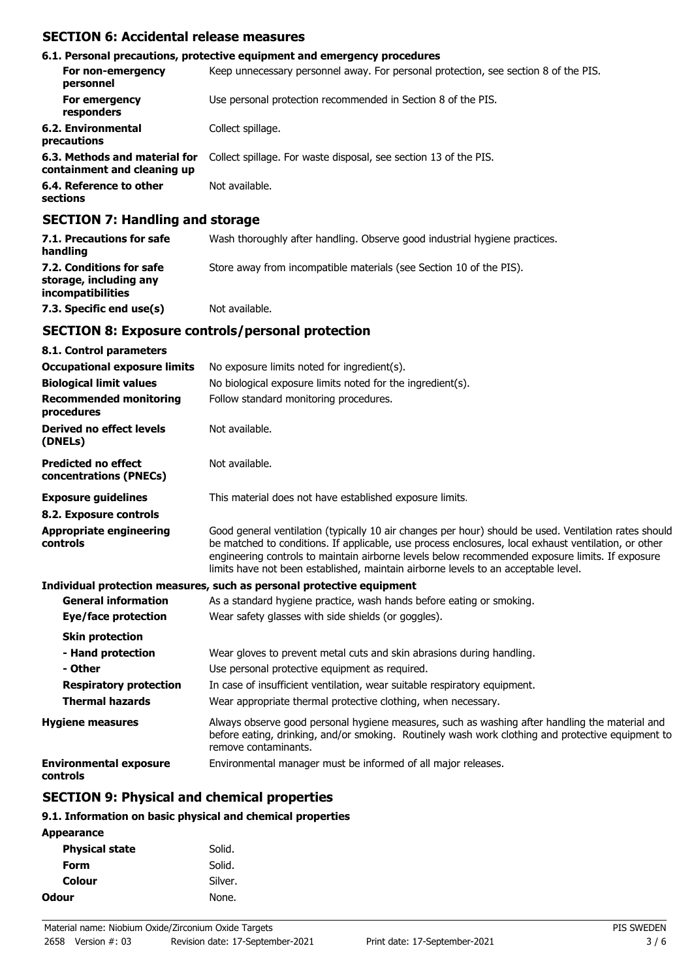## **SECTION 6: Accidental release measures**

|                                                              | 6.1. Personal precautions, protective equipment and emergency procedures            |
|--------------------------------------------------------------|-------------------------------------------------------------------------------------|
| For non-emergency<br>personnel                               | Keep unnecessary personnel away. For personal protection, see section 8 of the PIS. |
| For emergency<br>responders                                  | Use personal protection recommended in Section 8 of the PIS.                        |
| 6.2. Environmental<br>precautions                            | Collect spillage.                                                                   |
| 6.3. Methods and material for<br>containment and cleaning up | Collect spillage. For waste disposal, see section 13 of the PIS.                    |
| 6.4. Reference to other<br>sections                          | Not available.                                                                      |

# **SECTION 7: Handling and storage**

| 7.1. Precautions for safe<br>handling                                   | Wash thoroughly after handling. Observe good industrial hygiene practices. |
|-------------------------------------------------------------------------|----------------------------------------------------------------------------|
| 7.2. Conditions for safe<br>storage, including any<br>incompatibilities | Store away from incompatible materials (see Section 10 of the PIS).        |
| 7.3. Specific end use(s)                                                | Not available.                                                             |

## **SECTION 8: Exposure controls/personal protection**

| 8.1. Control parameters                              |                                                                                                                                                                                                                                                                                                                                                                                                        |
|------------------------------------------------------|--------------------------------------------------------------------------------------------------------------------------------------------------------------------------------------------------------------------------------------------------------------------------------------------------------------------------------------------------------------------------------------------------------|
| <b>Occupational exposure limits</b>                  | No exposure limits noted for ingredient(s).                                                                                                                                                                                                                                                                                                                                                            |
| <b>Biological limit values</b>                       | No biological exposure limits noted for the ingredient(s).                                                                                                                                                                                                                                                                                                                                             |
| <b>Recommended monitoring</b><br>procedures          | Follow standard monitoring procedures.                                                                                                                                                                                                                                                                                                                                                                 |
| Derived no effect levels<br>(DNELs)                  | Not available.                                                                                                                                                                                                                                                                                                                                                                                         |
| <b>Predicted no effect</b><br>concentrations (PNECs) | Not available.                                                                                                                                                                                                                                                                                                                                                                                         |
| <b>Exposure guidelines</b>                           | This material does not have established exposure limits.                                                                                                                                                                                                                                                                                                                                               |
| 8.2. Exposure controls                               |                                                                                                                                                                                                                                                                                                                                                                                                        |
| <b>Appropriate engineering</b><br>controls           | Good general ventilation (typically 10 air changes per hour) should be used. Ventilation rates should<br>be matched to conditions. If applicable, use process enclosures, local exhaust ventilation, or other<br>engineering controls to maintain airborne levels below recommended exposure limits. If exposure<br>limits have not been established, maintain airborne levels to an acceptable level. |
|                                                      | Individual protection measures, such as personal protective equipment                                                                                                                                                                                                                                                                                                                                  |
| <b>General information</b>                           | As a standard hygiene practice, wash hands before eating or smoking.                                                                                                                                                                                                                                                                                                                                   |
| Eye/face protection                                  | Wear safety glasses with side shields (or goggles).                                                                                                                                                                                                                                                                                                                                                    |
| <b>Skin protection</b>                               |                                                                                                                                                                                                                                                                                                                                                                                                        |
| - Hand protection                                    | Wear gloves to prevent metal cuts and skin abrasions during handling.                                                                                                                                                                                                                                                                                                                                  |
| - Other                                              | Use personal protective equipment as required.                                                                                                                                                                                                                                                                                                                                                         |
| <b>Respiratory protection</b>                        | In case of insufficient ventilation, wear suitable respiratory equipment.                                                                                                                                                                                                                                                                                                                              |
| <b>Thermal hazards</b>                               | Wear appropriate thermal protective clothing, when necessary.                                                                                                                                                                                                                                                                                                                                          |
| <b>Hygiene measures</b>                              | Always observe good personal hygiene measures, such as washing after handling the material and<br>before eating, drinking, and/or smoking. Routinely wash work clothing and protective equipment to<br>remove contaminants.                                                                                                                                                                            |
| <b>Environmental exposure</b><br>controls            | Environmental manager must be informed of all major releases.                                                                                                                                                                                                                                                                                                                                          |

# **SECTION 9: Physical and chemical properties**

## **9.1. Information on basic physical and chemical properties**

| Solid.  |
|---------|
| Solid.  |
| Silver. |
| None.   |
|         |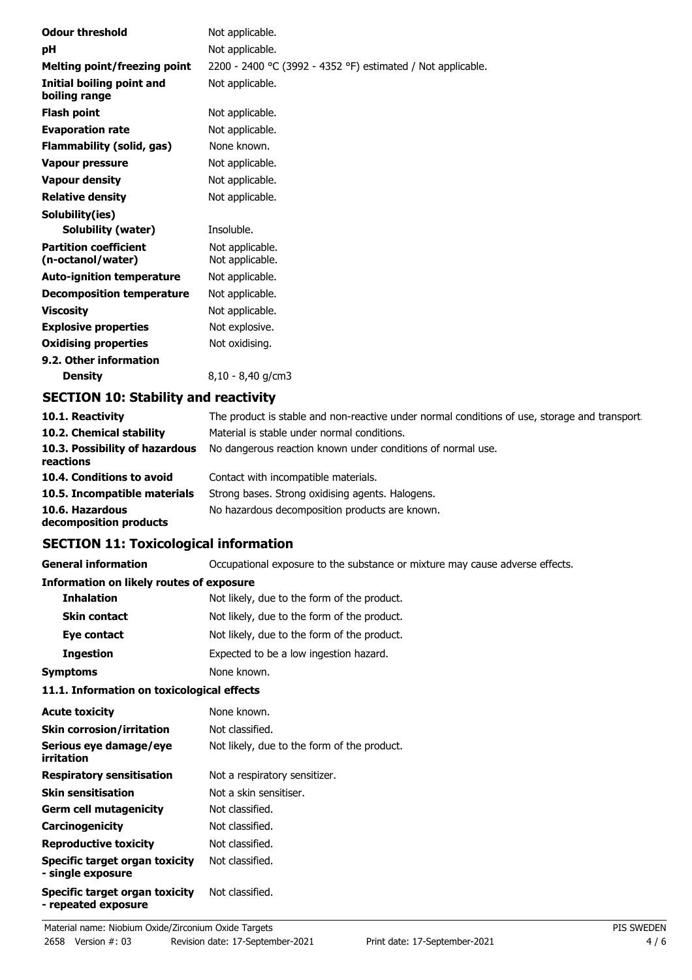| <b>Odour threshold</b>                            | Not applicable.                                             |
|---------------------------------------------------|-------------------------------------------------------------|
| рH                                                | Not applicable.                                             |
| Melting point/freezing point                      | 2200 - 2400 °C (3992 - 4352 °F) estimated / Not applicable. |
| Initial boiling point and<br>boiling range        | Not applicable.                                             |
| <b>Flash point</b>                                | Not applicable.                                             |
| <b>Evaporation rate</b>                           | Not applicable.                                             |
| Flammability (solid, gas)                         | None known.                                                 |
| <b>Vapour pressure</b>                            | Not applicable.                                             |
| <b>Vapour density</b>                             | Not applicable.                                             |
| <b>Relative density</b>                           | Not applicable.                                             |
| Solubility(ies)                                   |                                                             |
| Solubility (water)                                | Insoluble.                                                  |
| <b>Partition coefficient</b><br>(n-octanol/water) | Not applicable.<br>Not applicable.                          |
| <b>Auto-ignition temperature</b>                  | Not applicable.                                             |
| <b>Decomposition temperature</b>                  | Not applicable.                                             |
| <b>Viscosity</b>                                  | Not applicable.                                             |
| <b>Explosive properties</b>                       | Not explosive.                                              |
| <b>Oxidising properties</b>                       | Not oxidising.                                              |
| 9.2. Other information                            |                                                             |
| <b>Density</b>                                    | 8,10 - 8,40 g/cm3                                           |
| SPATTAN JA, AL, L'III, , J. ,                     |                                                             |

## **SECTION 10: Stability and reactivity**

| 10.1. Reactivity                            | The product is stable and non-reactive under normal conditions of use, storage and transport. |
|---------------------------------------------|-----------------------------------------------------------------------------------------------|
| 10.2. Chemical stability                    | Material is stable under normal conditions.                                                   |
| 10.3. Possibility of hazardous<br>reactions | No dangerous reaction known under conditions of normal use.                                   |
| 10.4. Conditions to avoid                   | Contact with incompatible materials.                                                          |
| 10.5. Incompatible materials                | Strong bases. Strong oxidising agents. Halogens.                                              |
| 10.6. Hazardous<br>decomposition products   | No hazardous decomposition products are known.                                                |

## **SECTION 11: Toxicological information**

**General information CCCUPATION** Occupational exposure to the substance or mixture may cause adverse effects.

#### **Information on likely routes of exposure**

| <b>Inhalation</b>   | Not likely, due to the form of the product. |
|---------------------|---------------------------------------------|
| <b>Skin contact</b> | Not likely, due to the form of the product. |
| Eye contact         | Not likely, due to the form of the product. |
| <b>Ingestion</b>    | Expected to be a low ingestion hazard.      |
| <b>Symptoms</b>     | None known.                                 |

## **11.1. Information on toxicological effects**

| <b>Acute toxicity</b>                                 | None known.                                 |
|-------------------------------------------------------|---------------------------------------------|
| <b>Skin corrosion/irritation</b>                      | Not classified.                             |
| Serious eye damage/eye<br>irritation                  | Not likely, due to the form of the product. |
| <b>Respiratory sensitisation</b>                      | Not a respiratory sensitizer.               |
| <b>Skin sensitisation</b>                             | Not a skin sensitiser.                      |
| <b>Germ cell mutagenicity</b>                         | Not classified.                             |
| Carcinogenicity                                       | Not classified.                             |
| <b>Reproductive toxicity</b>                          | Not classified.                             |
| Specific target organ toxicity<br>- single exposure   | Not classified.                             |
| Specific target organ toxicity<br>- repeated exposure | Not classified.                             |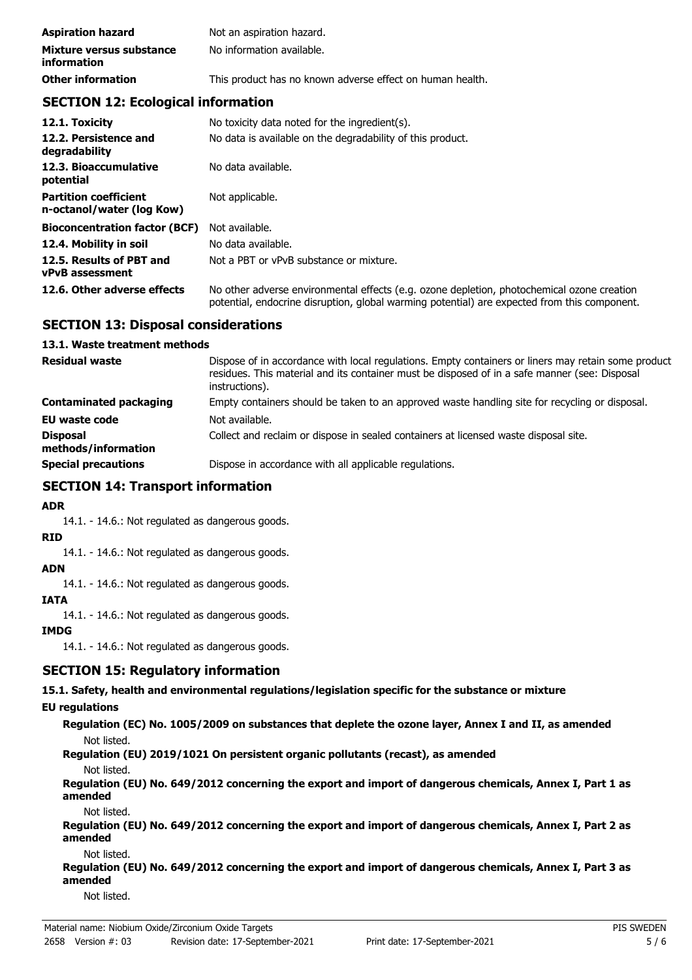| <b>Aspiration hazard</b>                       | Not an aspiration hazard.                                 |
|------------------------------------------------|-----------------------------------------------------------|
| Mixture versus substance<br><i>information</i> | No information available.                                 |
| <b>Other information</b>                       | This product has no known adverse effect on human health. |

## **SECTION 12: Ecological information**

| 12.1. Toxicity                                            | No toxicity data noted for the ingredient(s).                                                                                                                                              |
|-----------------------------------------------------------|--------------------------------------------------------------------------------------------------------------------------------------------------------------------------------------------|
| 12.2. Persistence and<br>degradability                    | No data is available on the degradability of this product.                                                                                                                                 |
| 12.3. Bioaccumulative<br>potential                        | No data available.                                                                                                                                                                         |
| <b>Partition coefficient</b><br>n-octanol/water (log Kow) | Not applicable.                                                                                                                                                                            |
| <b>Bioconcentration factor (BCF)</b>                      | Not available.                                                                                                                                                                             |
| 12.4. Mobility in soil                                    | No data available.                                                                                                                                                                         |
| 12.5. Results of PBT and<br><b>vPvB</b> assessment        | Not a PBT or vPvB substance or mixture.                                                                                                                                                    |
| 12.6. Other adverse effects                               | No other adverse environmental effects (e.g. ozone depletion, photochemical ozone creation<br>potential, endocrine disruption, global warming potential) are expected from this component. |

## **SECTION 13: Disposal considerations**

#### **13.1. Waste treatment methods**

| <b>Residual waste</b>                  | Dispose of in accordance with local regulations. Empty containers or liners may retain some product<br>residues. This material and its container must be disposed of in a safe manner (see: Disposal<br>instructions). |
|----------------------------------------|------------------------------------------------------------------------------------------------------------------------------------------------------------------------------------------------------------------------|
| Contaminated packaging                 | Empty containers should be taken to an approved waste handling site for recycling or disposal.                                                                                                                         |
| <b>EU waste code</b>                   | Not available.                                                                                                                                                                                                         |
| <b>Disposal</b><br>methods/information | Collect and reclaim or dispose in sealed containers at licensed waste disposal site.                                                                                                                                   |
| <b>Special precautions</b>             | Dispose in accordance with all applicable regulations.                                                                                                                                                                 |

## **SECTION 14: Transport information**

## **ADR**

14.1. - 14.6.: Not regulated as dangerous goods.

## **RID**

14.1. - 14.6.: Not regulated as dangerous goods.

# **ADN**

14.1. - 14.6.: Not regulated as dangerous goods.

#### **IATA**

14.1. - 14.6.: Not regulated as dangerous goods.

## **IMDG**

14.1. - 14.6.: Not regulated as dangerous goods.

## **SECTION 15: Regulatory information**

**15.1. Safety, health and environmental regulations/legislation specific for the substance or mixture**

## **EU regulations**

**Regulation (EC) No. 1005/2009 on substances that deplete the ozone layer, Annex I and II, as amended** Not listed.

**Regulation (EU) 2019/1021 On persistent organic pollutants (recast), as amended**

#### Not listed.

**Regulation (EU) No. 649/2012 concerning the export and import of dangerous chemicals, Annex I, Part 1 as amended**

Not listed.

**Regulation (EU) No. 649/2012 concerning the export and import of dangerous chemicals, Annex I, Part 2 as amended**

#### Not listed.

**Regulation (EU) No. 649/2012 concerning the export and import of dangerous chemicals, Annex I, Part 3 as amended**

Not listed.